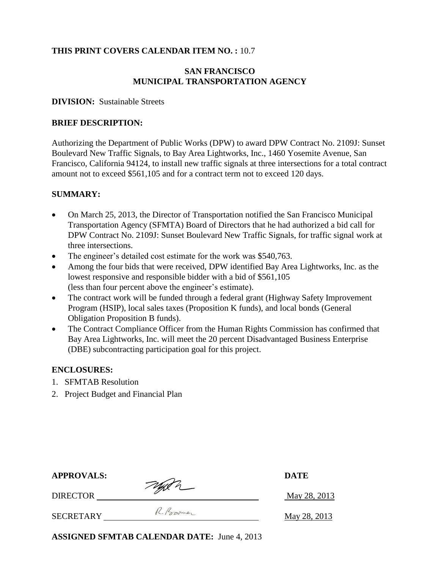### **THIS PRINT COVERS CALENDAR ITEM NO. :** 10.7

### **SAN FRANCISCO MUNICIPAL TRANSPORTATION AGENCY**

#### **DIVISION:** Sustainable Streets

#### **BRIEF DESCRIPTION:**

Authorizing the Department of Public Works (DPW) to award DPW Contract No. 2109J: Sunset Boulevard New Traffic Signals, to Bay Area Lightworks, Inc., 1460 Yosemite Avenue, San Francisco, California 94124, to install new traffic signals at three intersections for a total contract amount not to exceed \$561,105 and for a contract term not to exceed 120 days.

#### **SUMMARY:**

- On March 25, 2013, the Director of Transportation notified the San Francisco Municipal Transportation Agency (SFMTA) Board of Directors that he had authorized a bid call for DPW Contract No. 2109J: Sunset Boulevard New Traffic Signals, for traffic signal work at three intersections.
- The engineer's detailed cost estimate for the work was \$540,763.
- Among the four bids that were received, DPW identified Bay Area Lightworks, Inc. as the lowest responsive and responsible bidder with a bid of \$561,105 (less than four percent above the engineer's estimate).
- The contract work will be funded through a federal grant (Highway Safety Improvement Program (HSIP), local sales taxes (Proposition K funds), and local bonds (General Obligation Proposition B funds).
- The Contract Compliance Officer from the Human Rights Commission has confirmed that Bay Area Lightworks, Inc. will meet the 20 percent Disadvantaged Business Enterprise (DBE) subcontracting participation goal for this project.

#### **ENCLOSURES:**

- 1. SFMTAB Resolution
- 2. Project Budget and Financial Plan

| <b>APPROVALS:</b> |            | <b>DATE</b>  |  |
|-------------------|------------|--------------|--|
| <b>DIRECTOR</b>   | Typen      | May 28, 2013 |  |
| <b>SECRETARY</b>  | R. Poromer | May 28, 2013 |  |

**ASSIGNED SFMTAB CALENDAR DATE:** June 4, 2013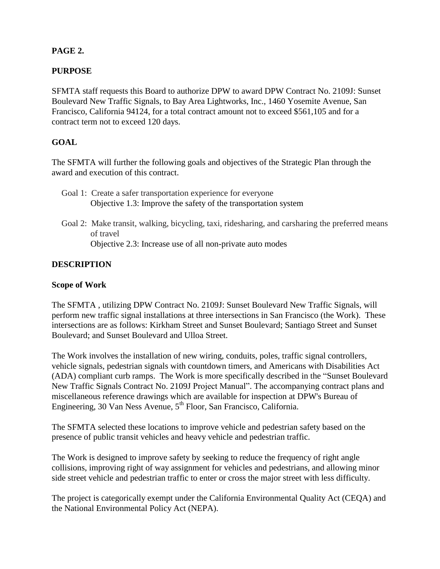### **PAGE 2.**

### **PURPOSE**

SFMTA staff requests this Board to authorize DPW to award DPW Contract No. 2109J: Sunset Boulevard New Traffic Signals, to Bay Area Lightworks, Inc., 1460 Yosemite Avenue, San Francisco, California 94124, for a total contract amount not to exceed \$561,105 and for a contract term not to exceed 120 days.

## **GOAL**

The SFMTA will further the following goals and objectives of the Strategic Plan through the award and execution of this contract.

- Goal 1: Create a safer transportation experience for everyone Objective 1.3: Improve the safety of the transportation system
- Goal 2: Make transit, walking, bicycling, taxi, ridesharing, and carsharing the preferred means of travel Objective 2.3: Increase use of all non-private auto modes

## **DESCRIPTION**

### **Scope of Work**

The SFMTA , utilizing DPW Contract No. 2109J: Sunset Boulevard New Traffic Signals, will perform new traffic signal installations at three intersections in San Francisco (the Work). These intersections are as follows: Kirkham Street and Sunset Boulevard; Santiago Street and Sunset Boulevard; and Sunset Boulevard and Ulloa Street.

The Work involves the installation of new wiring, conduits, poles, traffic signal controllers, vehicle signals, pedestrian signals with countdown timers, and Americans with Disabilities Act (ADA) compliant curb ramps. The Work is more specifically described in the "Sunset Boulevard New Traffic Signals Contract No. 2109J Project Manual". The accompanying contract plans and miscellaneous reference drawings which are available for inspection at DPW's Bureau of Engineering, 30 Van Ness Avenue,  $5<sup>th</sup>$  Floor, San Francisco, California.

The SFMTA selected these locations to improve vehicle and pedestrian safety based on the presence of public transit vehicles and heavy vehicle and pedestrian traffic.

The Work is designed to improve safety by seeking to reduce the frequency of right angle collisions, improving right of way assignment for vehicles and pedestrians, and allowing minor side street vehicle and pedestrian traffic to enter or cross the major street with less difficulty.

The project is categorically exempt under the California Environmental Quality Act (CEQA) and the National Environmental Policy Act (NEPA).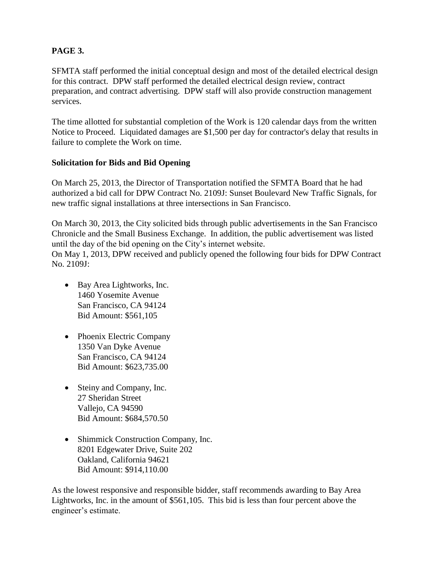## **PAGE 3.**

SFMTA staff performed the initial conceptual design and most of the detailed electrical design for this contract. DPW staff performed the detailed electrical design review, contract preparation, and contract advertising. DPW staff will also provide construction management services.

The time allotted for substantial completion of the Work is 120 calendar days from the written Notice to Proceed. Liquidated damages are \$1,500 per day for contractor's delay that results in failure to complete the Work on time.

#### **Solicitation for Bids and Bid Opening**

On March 25, 2013, the Director of Transportation notified the SFMTA Board that he had authorized a bid call for DPW Contract No. 2109J: Sunset Boulevard New Traffic Signals, for new traffic signal installations at three intersections in San Francisco.

On March 30, 2013, the City solicited bids through public advertisements in the San Francisco Chronicle and the Small Business Exchange. In addition, the public advertisement was listed until the day of the bid opening on the City's internet website.

On May 1, 2013, DPW received and publicly opened the following four bids for DPW Contract No. 2109J:

- Bay Area Lightworks, Inc. 1460 Yosemite Avenue San Francisco, CA 94124 Bid Amount: \$561,105
- Phoenix Electric Company 1350 Van Dyke Avenue San Francisco, CA 94124 Bid Amount: \$623,735.00
- Steiny and Company, Inc. 27 Sheridan Street Vallejo, CA 94590 Bid Amount: \$684,570.50
- Shimmick Construction Company, Inc. 8201 Edgewater Drive, Suite 202 Oakland, California 94621 Bid Amount: \$914,110.00

As the lowest responsive and responsible bidder, staff recommends awarding to Bay Area Lightworks, Inc. in the amount of \$561,105. This bid is less than four percent above the engineer's estimate.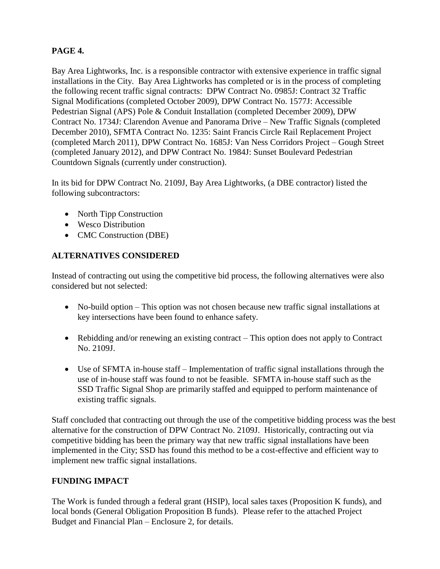## **PAGE 4.**

Bay Area Lightworks, Inc. is a responsible contractor with extensive experience in traffic signal installations in the City. Bay Area Lightworks has completed or is in the process of completing the following recent traffic signal contracts: DPW Contract No. 0985J: Contract 32 Traffic Signal Modifications (completed October 2009), DPW Contract No. 1577J: Accessible Pedestrian Signal (APS) Pole & Conduit Installation (completed December 2009), DPW Contract No. 1734J: Clarendon Avenue and Panorama Drive – New Traffic Signals (completed December 2010), SFMTA Contract No. 1235: Saint Francis Circle Rail Replacement Project (completed March 2011), DPW Contract No. 1685J: Van Ness Corridors Project – Gough Street (completed January 2012), and DPW Contract No. 1984J: Sunset Boulevard Pedestrian Countdown Signals (currently under construction).

In its bid for DPW Contract No. 2109J, Bay Area Lightworks, (a DBE contractor) listed the following subcontractors:

- North Tipp Construction
- Wesco Distribution
- CMC Construction (DBE)

## **ALTERNATIVES CONSIDERED**

Instead of contracting out using the competitive bid process, the following alternatives were also considered but not selected:

- No-build option This option was not chosen because new traffic signal installations at key intersections have been found to enhance safety.
- Rebidding and/or renewing an existing contract This option does not apply to Contract No. 2109J.
- Use of SFMTA in-house staff Implementation of traffic signal installations through the use of in-house staff was found to not be feasible. SFMTA in-house staff such as the SSD Traffic Signal Shop are primarily staffed and equipped to perform maintenance of existing traffic signals.

Staff concluded that contracting out through the use of the competitive bidding process was the best alternative for the construction of DPW Contract No. 2109J. Historically, contracting out via competitive bidding has been the primary way that new traffic signal installations have been implemented in the City; SSD has found this method to be a cost-effective and efficient way to implement new traffic signal installations.

## **FUNDING IMPACT**

The Work is funded through a federal grant (HSIP), local sales taxes (Proposition K funds), and local bonds (General Obligation Proposition B funds). Please refer to the attached Project Budget and Financial Plan – Enclosure 2, for details.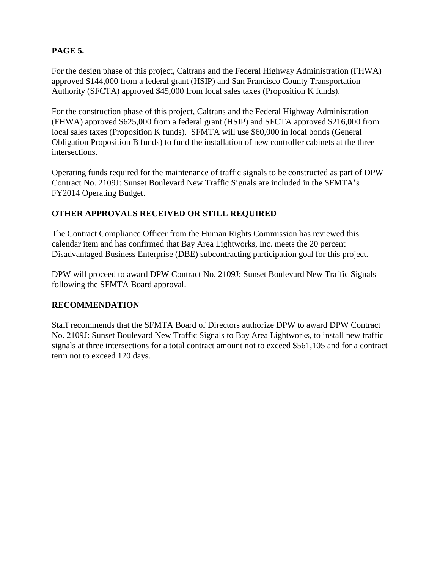## **PAGE 5.**

For the design phase of this project, Caltrans and the Federal Highway Administration (FHWA) approved \$144,000 from a federal grant (HSIP) and San Francisco County Transportation Authority (SFCTA) approved \$45,000 from local sales taxes (Proposition K funds).

For the construction phase of this project, Caltrans and the Federal Highway Administration (FHWA) approved \$625,000 from a federal grant (HSIP) and SFCTA approved \$216,000 from local sales taxes (Proposition K funds). SFMTA will use \$60,000 in local bonds (General Obligation Proposition B funds) to fund the installation of new controller cabinets at the three intersections.

Operating funds required for the maintenance of traffic signals to be constructed as part of DPW Contract No. 2109J: Sunset Boulevard New Traffic Signals are included in the SFMTA's FY2014 Operating Budget.

## **OTHER APPROVALS RECEIVED OR STILL REQUIRED**

The Contract Compliance Officer from the Human Rights Commission has reviewed this calendar item and has confirmed that Bay Area Lightworks, Inc. meets the 20 percent Disadvantaged Business Enterprise (DBE) subcontracting participation goal for this project.

DPW will proceed to award DPW Contract No. 2109J: Sunset Boulevard New Traffic Signals following the SFMTA Board approval.

### **RECOMMENDATION**

Staff recommends that the SFMTA Board of Directors authorize DPW to award DPW Contract No. 2109J: Sunset Boulevard New Traffic Signals to Bay Area Lightworks, to install new traffic signals at three intersections for a total contract amount not to exceed \$561,105 and for a contract term not to exceed 120 days.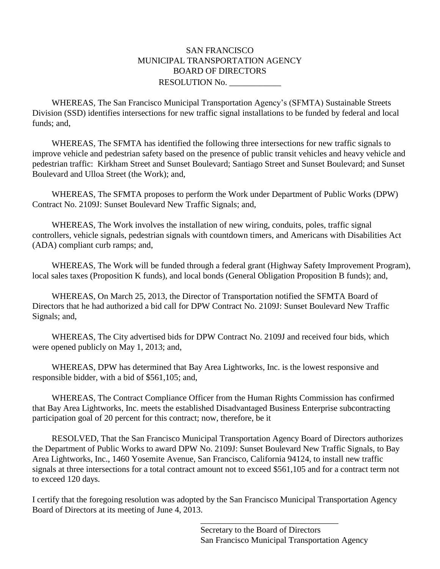### SAN FRANCISCO MUNICIPAL TRANSPORTATION AGENCY BOARD OF DIRECTORS RESOLUTION No.

WHEREAS, The San Francisco Municipal Transportation Agency's (SFMTA) Sustainable Streets Division (SSD) identifies intersections for new traffic signal installations to be funded by federal and local funds; and,

WHEREAS, The SFMTA has identified the following three intersections for new traffic signals to improve vehicle and pedestrian safety based on the presence of public transit vehicles and heavy vehicle and pedestrian traffic: Kirkham Street and Sunset Boulevard; Santiago Street and Sunset Boulevard; and Sunset Boulevard and Ulloa Street (the Work); and,

WHEREAS, The SFMTA proposes to perform the Work under Department of Public Works (DPW) Contract No. 2109J: Sunset Boulevard New Traffic Signals; and,

WHEREAS, The Work involves the installation of new wiring, conduits, poles, traffic signal controllers, vehicle signals, pedestrian signals with countdown timers, and Americans with Disabilities Act (ADA) compliant curb ramps; and,

WHEREAS, The Work will be funded through a federal grant (Highway Safety Improvement Program), local sales taxes (Proposition K funds), and local bonds (General Obligation Proposition B funds); and,

WHEREAS, On March 25, 2013, the Director of Transportation notified the SFMTA Board of Directors that he had authorized a bid call for DPW Contract No. 2109J: Sunset Boulevard New Traffic Signals; and,

WHEREAS, The City advertised bids for DPW Contract No. 2109J and received four bids, which were opened publicly on May 1, 2013; and,

WHEREAS, DPW has determined that Bay Area Lightworks, Inc. is the lowest responsive and responsible bidder, with a bid of \$561,105; and,

WHEREAS, The Contract Compliance Officer from the Human Rights Commission has confirmed that Bay Area Lightworks, Inc. meets the established Disadvantaged Business Enterprise subcontracting participation goal of 20 percent for this contract; now, therefore, be it

RESOLVED, That the San Francisco Municipal Transportation Agency Board of Directors authorizes the Department of Public Works to award DPW No. 2109J: Sunset Boulevard New Traffic Signals, to Bay Area Lightworks, Inc., 1460 Yosemite Avenue, San Francisco, California 94124, to install new traffic signals at three intersections for a total contract amount not to exceed \$561,105 and for a contract term not to exceed 120 days.

I certify that the foregoing resolution was adopted by the San Francisco Municipal Transportation Agency Board of Directors at its meeting of June 4, 2013.

 $\overline{\phantom{a}}$  , and the contract of the contract of the contract of the contract of the contract of the contract of the contract of the contract of the contract of the contract of the contract of the contract of the contrac Secretary to the Board of Directors San Francisco Municipal Transportation Agency